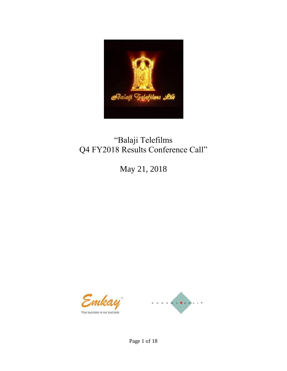

# "Balaji Telefilms Q4 FY2018 Results Conference Call"

May 21, 2018



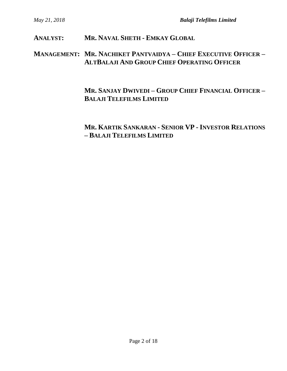**ANALYST: MR. NAVAL SHETH - EMKAY GLOBAL**

#### **MANAGEMENT: MR. NACHIKET PANTVAIDYA – CHIEF EXECUTIVE OFFICER – ALTBALAJI AND GROUP CHIEF OPERATING OFFICER**

### **MR. SANJAY DWIVEDI – GROUP CHIEF FINANCIAL OFFICER – BALAJI TELEFILMS LIMITED**

## **MR. KARTIK SANKARAN - SENIOR VP - INVESTOR RELATIONS – BALAJI TELEFILMS LIMITED**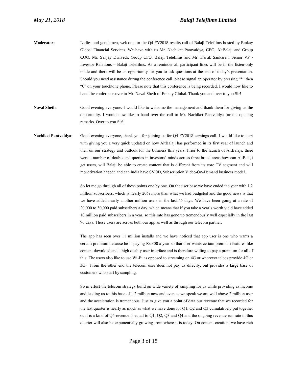- **Moderator:** Ladies and gentlemen, welcome to the Q4 FY2018 results call of Balaji Telefilms hosted by Emkay Global Financial Services. We have with us Mr. Nachiket Pantvaidya, CEO, AltBalaji and Group COO, Mr. Sanjay Dwivedi, Group CFO, Balaji Telefilms and Mr. Kartik Sankaran, Senior VP - Investor Relations – Balaji Telefilms. As a reminder all participant lines will be in the listen-only mode and there will be an opportunity for you to ask questions at the end of today's presentation. Should you need assistance during the conference call, please signal an operator by pressing "\*" then "0" on your touchtone phone. Please note that this conference is being recorded. I would now like to hand the conference over to Mr. Naval Sheth of Emkay Global. Thank you and over to you Sir!
- Naval Sheth: Good evening everyone. I would like to welcome the management and thank them for giving us the opportunity. I would now like to hand over the call to Mr. Nachiket Pantvaidya for the opening remarks. Over to you Sir!
- **Nachiket Pantvaidya**: Good evening everyone, thank you for joining us for Q4 FY2018 earnings call. I would like to start with giving you a very quick updated on how AltBalaji has performed in its first year of launch and then on our strategy and outlook for the business this years. Prior to the launch of AltBalaji, there were a number of doubts and queries in investors' minds across three broad areas how can AltBalaji get users, will Balaji be able to create content that is different from its core TV segment and will monetization happen and can India have SVOD, Subscription Video-On-Demand business model.

So let me go through all of these points one by one. On the user base we have ended the year with 1.2 million subscribers, which is nearly 20% more than what we had budgeted and the good news is that we have added nearly another million users in the last 45 days. We have been going at a rate of 20,000 to 30,000 paid subscribers a day, which means that if you take a year's worth yield have added 10 million paid subscribers in a year, so this rate has gone up tremendously well especially in the last 90 days. These users are across both our app as well as through our telecom partner.

The app has seen over 11 million installs and we have noticed that app user is one who wants a certain premium because he is paying Rs.300 a year so that user wants certain premium features like content download and a high quality user interface and is therefore willing to pay a premium for all of this. The users also like to use Wi-Fi as opposed to streaming on 4G or wherever telcos provide 4G or 3G. From the other end the telecom user does not pay us directly, but provides a large base of customers who start by sampling.

So in effect the telecom strategy build on wide variety of sampling for us while providing as income and leading us to this base of 1.2 million now and even as we speak we are well above 2 million user and the acceleration is tremendous. Just to give you a point of data our revenue that we recorded for the last quarter is nearly as much as what we have done for Q1, Q2 and Q3 cumulatively put together os it is a kind of Q4 revenue is equal to Q1, Q2, Q3 and Q4 and the ongoing revenue run rate in this quarter will also be exponentially growing from where it is today. On content creation, we have rich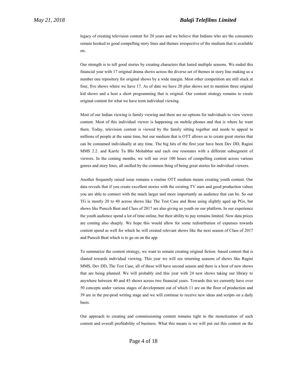legacy of creating television content for 20 years and we believe that Indians who are the consumers remain hooked to good compelling story lines and themes irrespective of the medium that is available on.

Our strength is to tell good stories by creating characters that lasted multiple seasons. We ended this financial year with 17 original drama shows across the diverse set of themes in story line making us a number one repository for original shows by a wide margin. Most other competition are still stuck at four, five shows where we have 17. As of date we have 20 plus shows not to mention three original kid shows and a host a short programming that is original. Our content strategy remains to create original content for what we have term individual viewing.

Most of our Indian viewing is family viewing and there are no options for individuals to view viewer content. Most of this individual viewer is happening on mobile phones and that is where he want them. Today, television content is viewed by the family sitting together and needs to appeal to millions of people at the same time, but our medium that is OTT allows us to create great stories that can be consumed individually at any time. The big hits of the first year have been Dev DD, Ragini MMS 2.2. and Karrle Tu Bhi Mohabbat and each one resonates with a different subsegment of viewers. In the coming months, we will see over 100 hours of compelling content across various genres and story lines, all unified by the common thing of being great stories for individual viewers.

Another frequently raised issue remains a routine OTT medium means creating youth content. Our data reveals that if you create excellent stories with the existing TV stars and good production values you are able to connect with the much larger and more importantly an audience that can be. So our TG is mostly 20 to 40 across shows like The Test Case and Bose using slightly aged up PGs, but shows like Puncch Beat and Class of 2017 are also giving us youth on our platform. In our experience the youth audience spend a lot of time online, but their ability to pay remains limited. Now data prices are coming also sharply. We hope this would allow for some redistribution of expenses towards content spend as well for which he will created relevant shows like the next season of Class of 2017 and Puncch Beat which is to go on on the app.

To summarize the content strategy, we want to remain creating original fiction -based content that is slanted towards individual viewing. This year we will see returning seasons of shows like Ragini MMS, Dev DD, The Test Case, all of these will have second season and there is a host of new shows that are being planned. We will probably end this year with 24 new shows taking our library to anywhere between 40 and 45 shows across two financial years. Towards this we currently have over 50 concepts under various stages of development out of which 11 are on the floor of production and 39 are in the pre-prod writing stage and we will continue to receive new ideas and scripts on a daily basis.

Our approach to creating and commissioning content remains tight to the monetization of such content and overall profitability of business. What this means is we will put out this content on the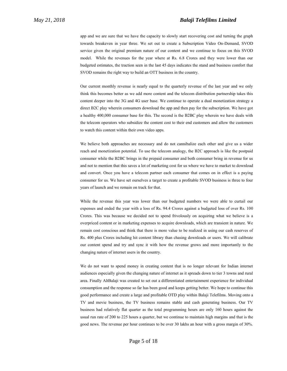app and we are sure that we have the capacity to slowly start recovering cost and turning the graph towards breakeven in year three. We set out to create a Subscription Video On-Demand, SVOD service given the original premium nature of our content and we continue to focus on this SVOD model. While the revenues for the year where at Rs. 6.8 Crores and they were lower than our budgeted estimates, the traction seen in the last 45 days indicates the stand and business comfort that SVOD remains the right way to build an OTT business in the country.

Our current monthly revenue is nearly equal to the quarterly revenue of the last year and we only think this becomes better as we add more content and the telecom distribution partnership takes this content deeper into the 3G and 4G user base. We continue to operate a dual monetization strategy a direct B2C play wherein consumers download the app and then pay for the subscription. We have got a healthy 400,000 consumer base for this. The second is the B2BC play wherein we have deals with the telecom operators who subsidize the content cost to their end customers and allow the customers to watch this content within their own video apps.

We believe both approaches are necessary and do not cannibalize each other and give us a wider reach and monetization potential. To use the telecom analogy, the B2C approach is like the postpaid consumer while the B2BC brings in the prepaid consumer and both consumer bring in revenue for us and not to mention that this saves a lot of marketing cost for us where we have to market to download and convert. Once you have a telecom partner each consumer that comes on in effect is a paying consumer for us. We have set ourselves a target to create a profitable SVOD business is three to four years of launch and we remain on track for that.

While the revenue this year was lower than our budgeted numbers we were able to curtail our expenses and ended the year with a loss of Rs. 94.4 Crores against a budgeted loss of over Rs. 100 Crores. This was because we decided not to spend frivolously on acquiring what we believe is a overpriced content or in marketing expenses to acquire downloads, which are transient in nature. We remain cost conscious and think that there is more value to be realized in using our cash reserves of Rs. 400 plus Crores including hit content library than chasing downloads or users. We will calibrate our content spend and try and sync it with how the revenue grows and more importantly to the changing nature of internet users in the country.

We do not want to spend money in creating content that is no longer relevant for Indian internet audiences especially given the changing nature of internet as it spreads down to tier 3 towns and rural area. Finally AltBalaji was created to set out a differentiated entertainment experience for individual consumption and the response so far has been good and keeps getting better. We hope to continue this good performance and create a large and profitable OTD play within Balaji Telefilms. Moving onto a TV and movie business, the TV business remains stable and cash generating business. Our TV business had relatively flat quarter as the total programming hours are only 160 hours against the usual run rate of 200 to 225 hours a quarter, but we continue to maintain high margins and that is the good news. The revenue per hour continues to be over 30 lakhs an hour with a gross margin of 30%.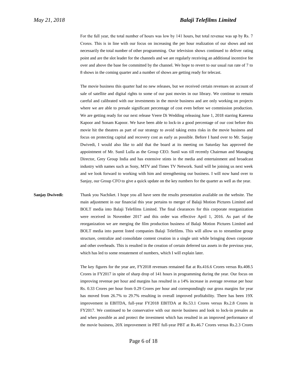For the full year, the total number of hours was low by 141 hours, but total revenue was up by Rs. 7 Crores. This is in line with our focus on increasing the per hour realization of our shows and not necessarily the total number of other programming. Our television shows continued to deliver rating point and are the slot leader for the channels and we are regularly receiving an additional incentive fee over and above the base fee committed by the channel. We hope to revert to our usual run rate of 7 to 8 shows in the coming quarter and a number of shows are getting ready for telecast.

The movie business this quarter had no new releases, but we received certain revenues on account of sale of satellite and digital rights to some of our past movies in our library. We continue to remain careful and calibrated with our investments in the movie business and are only working on projects where we are able to presale significant percentage of cost even before we commission production. We are getting ready for our next release Veere Di Wedding releasing June 1, 2018 starring Kareena Kapoor and Sonam Kapoor. We have been able to lock-in a good percentage of our cost before this movie hit the theatres as part of our strategy to avoid taking extra risks in the movie business and focus on protecting capital and recovery cost as early as possible. Before I hand over to Mr. Sanjay Dwivedi, I would also like to add that the board at its meeting on Saturday has approved the appointment of Mr. Sunil Lulla as the Group CEO. Sunil was till recently Chairman and Managing Director, Grey Group India and has extensive stints in the media and entertainment and broadcast industry with names such as Sony, MTV and Times TV Network. Sunil will be joining us next week and we look forward to working with him and strengthening our business. I will now hand over to Sanjay, our Group CFO to give a quick update on the key numbers for the quarter as well as the year.

**Sanjay Dwivedi:** Thank you Nachiket. I hope you all have seen the results presentation available on the website. The main adjustment in our financial this year pertains to merger of Balaji Motion Pictures Limited and BOLT media into Balaji Telefilms Limited. The final clearances for this corporate reorganization were received in November 2017 and this order was effective April 1, 2016. As part of the reorganization we are merging the film production business of Balaji Motion Pictures Limited and BOLT media into parent listed companies Balaji Telefilms. This will allow us to streamline group structure, centralize and consolidate content creation in a single unit while bringing down corporate and other overheads. This is resulted in the creation of certain deferred tax assets in the previous year, which has led to some restatement of numbers, which I will explain later.

> The key figures for the year are, FY2018 revenues remained flat at Rs.416.6 Crores versus Rs.408.5 Crores in FY2017 in spite of sharp drop of 141 hours in programming during the year. Our focus on improving revenue per hour and margins has resulted in a 14% increase in average revenue per hour Rs. 0.33 Crores per hour from 0.29 Crores per hour and correspondingly our gross margins for year has moved from 26.7% to 29.7% resulting in overall improved profitability. There has been 19X improvement in EBITDA, full-year FY2018 EBITDA at Rs.53.1 Crores versus Rs.2.8 Crores in FY2017. We continued to be conservative with our movie business and look to lock-in presales as and when possible as and protect the investment which has resulted in an improved performance of the movie business, 20X improvement in PBT full-year PBT at Rs.46.7 Crores versus Rs.2.3 Crores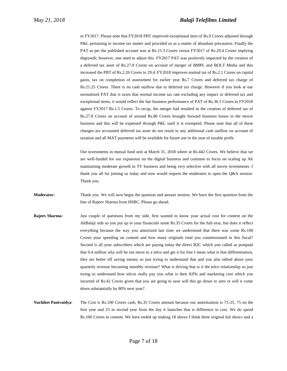in FY2017. Please note that FY2018 PBT improved exceptional item of Rs.9 Crores adjusted through P&L pertaining to income tax matter and provided us as a matter of abundant precaution. Finally the PAT as per the published account was at Rs.15.3 Crores versus FY2017 of Rs.29.4 Crores implying degrowth; however, one need to adjust this. FY2017 PAT was positively impacted by the creation of a deferred tax asset of Rs.27.8 Crores on account of merger of BMPL and BOLT Media and this increased the PBT of Rs.2.26 Crores to 29.4. FY2018 improves normal tax of Rs.2.1 Crores on capital gains, tax on completion of assessment for earlier year Rs.7 Crores and deferred tax charge of Rs.21.25 Crores. There is no cash outflow due to deferred tax charge. However if you look at our normalized PAT that is taxes that normal income tax rate excluding any impact or deferred tax and exceptional items, it would reflect the fair business performance of PAT of Rs.36.5 Crores in FY2018 against FY2017 Rs.1.5 Crores. To recap, the merger had resulted in the creation of deferred tax of Rs.27.8 Crores on account of around Rs.80 Crores brought forward business losses in the movie business and this will be expensed through P&L until it is exempted. Please note that all of these changes are accounted deferred tax asset do not result in any additional cash outflow on account of taxation and all MAT payments will be available for future use in the year of taxable profit.

Our investments in mutual fund unit at March 31, 2018 where at Rs.442 Crores. We believe that we are well-funded for our expansion on the digital business and continue to focus on scaling up Alt maintaining moderate growth in TV business and being very selective with all movie investments. I thank you all for joining us today and now would request the moderator to open the Q&A session. Thank you.

**Moderator:** Thank you. We will now begin the question and answer session. We have the first question from the line of Rajeev Sharma from HSBC. Please go ahead.

- **Rajeev Sharma:** Just couple of questions from my side, first wanted to know your actual cost for content on the AltBalaji side so you put up in your financials some Rs.35 Crores for the full-year, but does it reflect everything because the way you amortized last time we understood that there was some Rs.100 Crores your spending on content and how many originals total you commissioned in this fiscal? Second is all your subscribers which are paying today the direct B2C which you called as postpaid that 0.4 million why will be not move to a telco and get it for free I mean what is that differentiation, they are better off saving money so just trying to understand that and you also talked about your quarterly revenue becoming monthly revenue? What is driving that is it the telco relationship so just trying to understand how telcos really pay you what is their KPIs and marketing cost which you incurred of Rs.42 Crores given that you are going to save will this go down to zero or will it come down substantially by 80% next year?
- **Nachiket Pantvaidya**: The Cost is Rs.100 Crores cash, Rs.35 Crores amount because our amortization is 75-25, 75 on the first year and 25 in second year from the day it launches that is difference in cost. We do spend Rs.100 Crores in content. We have ended up making 18 shows I think three original kid shows and a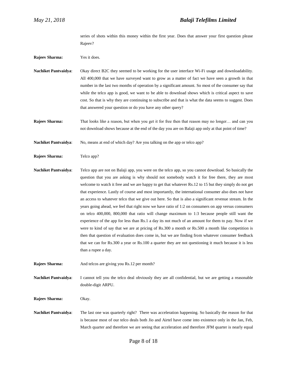series of shots within this money within the first year. Does that answer your first question please Rajeev?

**Rajeev Sharma:** Yes it does.

**Nachiket Pantvaidya**: Okay direct B2C they seemed to be working for the user interface Wi-Fi usage and downloadability. All 400,000 that we have surveyed want to grow as a matter of fact we have seen a growth in that number in the last two months of operation by a significant amount. So most of the consumer say that while the telco app is good, we want to be able to download shows which is critical aspect to save cost. So that is why they are continuing to subscribe and that is what the data seems to suggest. Does that answered your question or do you have any other query?

**Rajeev Sharma:** That looks like a reason, but when you get it for free then that reason may no longer… and can you not download shows because at the end of the day you are on Balaji app only at that point of time?

**Nachiket Pantvaidya:** No, means at end of which day? Are you talking on the app or telco app?

**Rajeev Sharma:** Telco app?

**Nachiket Pantvaidya**: Telco app are not on Balaji app, you were on the telco app, so you cannot download. So basically the question that you are asking is why should not somebody watch it for free there, they are most welcome to watch it free and we are happy to get that whatever Rs.12 to 15 but they simply do not get that experience. Lastly of course and most importantly, the international consumer also does not have an access to whatever telco that we give out here. So that is also a significant revenue stream. In the years going ahead, we feel that right now we have ratio of 1:2 on consumers on app versus consumers on telco 400,000, 800,000 that ratio will change maximum to 1:3 because people still want the experience of the app for less than Rs.1 a day its not much of an amount for them to pay. Now if we were to kind of say that we are at pricing of Rs.300 a month or Rs.500 a month like competition is then that question of evaluation does come in, but we are finding from whatever consumer feedback that we can for Rs.300 a year or Rs.100 a quarter they are not questioning it much because it is less than a rupee a day.

**Rajeev Sharma:** And telcos are giving you Rs.12 per month?

**Nachiket Pantvaidya**: I cannot tell you the telco deal obviously they are all confidential, but we are getting a reasonable double-digit ARPU.

**Rajeev Sharma:** Okay.

**Nachiket Pantvaidya**: The last one was quarterly right? There was acceleration happening. So basically the reason for that is because most of our telco deals both Jio and Airtel have come into existence only in the Jan, Feb, March quarter and therefore we are seeing that acceleration and therefore JFM quarter is nearly equal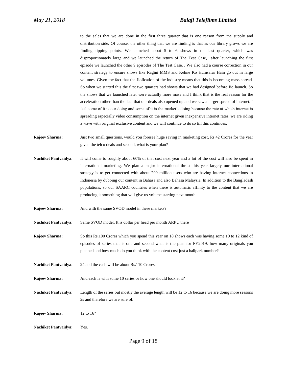to the sales that we are done in the first three quarter that is one reason from the supply and distribution side. Of course, the other thing that we are finding is that as our library grows we are finding tipping points. We launched about 5 to 6 shows in the last quarter, which was disproportionately large and we launched the return of The Test Case, after launching the first episode we launched the other 9 episodes of The Test Case. . We also had a course correction in our content strategy to ensure shows like Ragini MMS and Kehne Ko Humsafar Hain go out in large volumes. Given the fact that the Jiofication of the industry means that this is becoming mass spread. So when we started this the first two quarters had shows that we had designed before Jio launch. So the shows that we launched later were actually more mass and I think that is the real reason for the acceleration other than the fact that our deals also opened up and we saw a larger spread of internet. I feel some of it is our doing and some of it is the market's doing because the rate at which internet is spreading especially video consumption on the internet given inexpensive internet rates, we are riding a wave with original exclusive content and we will continue to do so till this continues.

- **Rajeev Sharma:** Just two small questions, would you foresee huge saving in marketing cost, Rs.42 Crores for the year given the telco deals and second, what is your plan?
- **Nachiket Pantvaidya**: It will come to roughly about 60% of that cost next year and a lot of the cost will also be spent in international marketing. We plan a major international thrust this year largely our international strategy is to get connected with about 200 million users who are having internet connections in Indonesia by dubbing our content in Bahasa and also Bahasa Malaysia. In addition to the Bangladesh populations, so our SAARC countries when there is automatic affinity to the content that we are producing is something that will give us volume starting next month.
- **Rajeev Sharma:** And with the same SVOD model in these markets?

**Nachiket Pantvaidya**: Same SVOD model. It is dollar per head per month ARPU there

**Rajeev Sharma:** So this Rs.100 Crores which you spend this year on 18 shows each was having some 10 to 12 kind of episodes of series that is one and second what is the plan for FY2019, how many originals you planned and how much do you think with the content cost just a ballpark number?

- **Nachiket Pantvaidya**: 24 and the cash will be about Rs.110 Crores.
- **Rajeev Sharma:** And each is with some 10 series or how one should look at it?

**Nachiket Pantvaidya**: Length of the series but mostly the average length will be 12 to 16 because we are doing more seasons 2s and therefore we are sure of.

**Rajeev Sharma:** 12 to 16?

**Nachiket Pantvaidya**: Yes.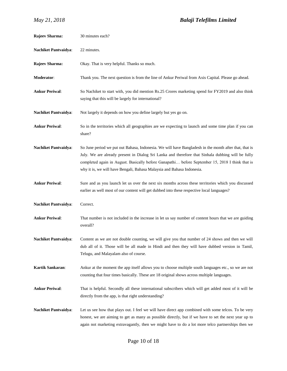| <b>Rajeev Sharma:</b>       | 30 minutes each?                                                                                                                                                                                                                                                                                                                                                                        |
|-----------------------------|-----------------------------------------------------------------------------------------------------------------------------------------------------------------------------------------------------------------------------------------------------------------------------------------------------------------------------------------------------------------------------------------|
| <b>Nachiket Pantvaidya:</b> | 22 minutes.                                                                                                                                                                                                                                                                                                                                                                             |
| <b>Rajeev Sharma:</b>       | Okay. That is very helpful. Thanks so much.                                                                                                                                                                                                                                                                                                                                             |
| Moderator:                  | Thank you. The next question is from the line of Ankur Periwal from Axis Capital. Please go ahead.                                                                                                                                                                                                                                                                                      |
| <b>Ankur Periwal:</b>       | So Nachiket to start with, you did mention Rs.25 Crores marketing spend for FY2019 and also think<br>saying that this will be largely for international?                                                                                                                                                                                                                                |
| <b>Nachiket Pantvaidya:</b> | Not largely it depends on how you define largely but yes go on.                                                                                                                                                                                                                                                                                                                         |
| <b>Ankur Periwal:</b>       | So in the territories which all geographies are we expecting to launch and some time plan if you can<br>share?                                                                                                                                                                                                                                                                          |
| <b>Nachiket Pantvaidya:</b> | So June period we put out Bahasa, Indonesia. We will have Bangladesh in the month after that, that is<br>July. We are already present in Dialog Sri Lanka and therefore that Sinhala dubbing will be fully<br>completed again in August. Basically before Ganapathi before September 15, 2018 I think that is<br>why it is, we will have Bengali, Bahasa Malaysia and Bahasa Indonesia. |
| <b>Ankur Periwal:</b>       | Sure and as you launch let us over the next six months across these territories which you discussed<br>earlier as well most of our content will get dubbed into these respective local languages?                                                                                                                                                                                       |
| <b>Nachiket Pantvaidya:</b> | Correct.                                                                                                                                                                                                                                                                                                                                                                                |
| <b>Ankur Periwal:</b>       | That number is not included in the increase in let us say number of content hours that we are guiding<br>overall?                                                                                                                                                                                                                                                                       |
| <b>Nachiket Pantvaidva:</b> | Content as we are not double counting, we will give you that number of 24 shows and then we will<br>dub all of it. Those will be all made in Hindi and then they will have dubbed version in Tamil,<br>Telugu, and Malayalam also of course.                                                                                                                                            |
| Kartik Sankaran:            | Ankur at the moment the app itself allows you to choose multiple south languages etc., so we are not<br>counting that four times basically. These are 18 original shows across multiple languages.                                                                                                                                                                                      |
| <b>Ankur Periwal:</b>       | That is helpful. Secondly all these international subscribers which will get added most of it will be<br>directly from the app, is that right understanding?                                                                                                                                                                                                                            |
| <b>Nachiket Pantvaidya:</b> | Let us see how that plays out. I feel we will have direct app combined with some telcos. To be very<br>honest, we are aiming to get as many as possible directly, but if we have to set the next year up to<br>again not marketing extravagantly, then we might have to do a lot more telco partnerships then we                                                                        |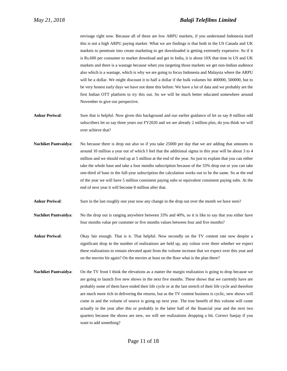envisage right now. Because all of these are low ARPU markets, if you understand Indonesia itself this is not a high ARPU paying market. What we are findings is that both in the US Canada and UK markets to penetrate into create marketing to get downloaded is getting extremely expensive. So if it is Rs.600 per consumer to market download and get in India, it is about 10X that time in US and UK markets and there is a wastage because when you targeting those markets we get non-Indian audience also which is a wastage, which is why we are going to focus Indonesia and Malaysia where the ARPU will be a dollar. We might discount it to half a dollar if the bulk volumes hit 400000, 500000, but to be very honest early days we have not done this before. We have a lot of data and we probably are the first Indian OTT platform to try this out. So we will be much better educated somewhere around November to give our perspective.

- **Ankur Periwal**: Sure that is helpful. Now given this background and our earlier guidance of let us say 8 million odd subscribers let us say three years out FY2020 and we are already 2 million plus, do you think we will over achieve that?
- **Nachiket Pantvaidya**: No because there is drop out also so if you take 25000 per day that we are adding that amounts to around 10 million a year out of which I feel that the additional sigma in this year will be about 3 to 4 million and we should end up at 5 million at the end of the year. So just to explain that you can either take the whole base and take a four months subscription because of the 33% drop out or you can take one-third of base in the full-year subscription the calculation works out to be the same. So at the end of the year we will have 5 million consistent paying subs or equivalent consistent paying subs. At the end of next year it will become 8 million after that.
- **Ankur Periwal**: Sure in the last roughly one year now any change in the drop out over the month we have seen?
- **Nachiket Pantvaidya**: No the drop out is ranging anywhere between 33% and 40%, so it is like to say that you either have four months value per customer or five months values between four and five months?
- **Ankur Periwal**: Okay fair enough. That is it. That helpful. Now secondly on the TV content rate now despite a significant drop in the number of realizations are held up, any colour over there whether we expect these realizations to remain elevated apart from the volume increase that we expect over this year and on the movies bit again? On the movies at least on the floor what is the plan there?
- **Nachiket Pantvaidya:** On the TV front I think the elevations as a matter the margin realization is going to drop because we are going to launch five new shows in the next five months. These shows that we currently have are probably some of them have ended their life cycle or at the last stretch of their life cycle and therefore are much more rich in delivering the returns, but as the TV content business is cyclic, new shows will come in and the volume of source is going up next year. The true benefit of this volume will come actually in the year after this or probably in the latter half of the financial year and the next two quarters because the shows are new, we will see realizations dropping a bit. Correct Sanjay if you want to add something?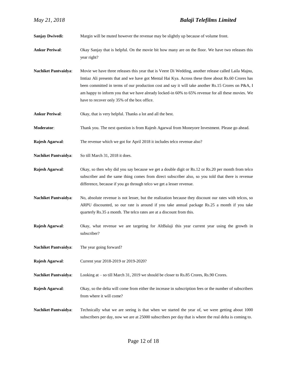**Sanjay Dwivedi:** Margin will be muted however the revenue may be slightly up because of volume front.

- **Ankur Periwal**: Okay Sanjay that is helpful. On the movie bit how many are on the floor. We have two releases this year right?
- **Nachiket Pantvaidya**: Movie we have three releases this year that is Veere Di Wedding, another release called Laila Majnu, Imtiaz Ali presents that and we have got Mental Hai Kya. Across these three about Rs.60 Crores has been committed in terms of our production cost and say it will take another Rs.15 Crores on P&A, I am happy to inform you that we have already locked-in 60% to 65% revenue for all these movies. We have to recover only 35% of the box office.
- **Ankur Periwal**: Okay, that is very helpful. Thanks a lot and all the best.
- **Moderator**: Thank you. The next question is from Rajesh Agarwal from Moneyore Investment. Please go ahead.
- **Rajesh Agarwal**: The revenue which we got for April 2018 it includes telco revenue also?
- **Nachiket Pantvaidya**: So till March 31, 2018 it does.
- **Rajesh Agarwal**: Okay, so then why did you say because we get a double digit or Rs.12 or Rs.20 per month from telco subscriber and the same thing comes from direct subscriber also, so you told that there is revenue difference, because if you go through telco we get a lesser revenue.
- **Nachiket Pantvaidya**: No, absolute revenue is not lesser, but the realization because they discount our rates with telcos, so ARPU discounted, so our rate is around if you take annual package Rs.25 a month if you take quarterly Rs.35 a month. The telco rates are at a discount from this.
- **Rajesh Agarwal**: Okay, what revenue we are targeting for AltBalaji this year current year using the growth in subscriber?
- **Nachiket Pantvaidya**: The year going forward?
- **Rajesh Agarwal**: Current year 2018-2019 or 2019-2020?
- **Nachiket Pantvaidya**: Looking at so till March 31, 2019 we should be closer to Rs.85 Crores, Rs.90 Crores.
- **Rajesh Agarwal**: Okay, so the delta will come from either the increase in subscription fees or the number of subscribers from where it will come?
- **Nachiket Pantvaidya**: Technically what we are seeing is that when we started the year of, we were getting about 1000 subscribers per day, now we are at 25000 subscribers per day that is where the real delta is coming to.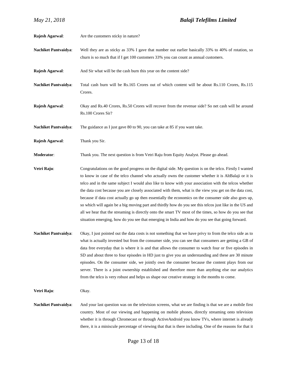| Rajesh Agarwal:             | Are the customers sticky in nature?                                                                                                                                                                                                                                                                                                                                                                                                                                                                                                                                                                                                                                                                                                                                                                                                                                  |
|-----------------------------|----------------------------------------------------------------------------------------------------------------------------------------------------------------------------------------------------------------------------------------------------------------------------------------------------------------------------------------------------------------------------------------------------------------------------------------------------------------------------------------------------------------------------------------------------------------------------------------------------------------------------------------------------------------------------------------------------------------------------------------------------------------------------------------------------------------------------------------------------------------------|
| Nachiket Pantvaidya:        | Well they are as sticky as 33% I gave that number out earlier basically 33% to 40% of rotation, so<br>churn is so much that if I get 100 customers 33% you can count as annual customers.                                                                                                                                                                                                                                                                                                                                                                                                                                                                                                                                                                                                                                                                            |
| Rajesh Agarwal:             | And Sir what will be the cash burn this year on the content side?                                                                                                                                                                                                                                                                                                                                                                                                                                                                                                                                                                                                                                                                                                                                                                                                    |
| <b>Nachiket Pantvaidya:</b> | Total cash burn will be Rs.165 Crores out of which content will be about Rs.110 Crores, Rs.115<br>Crores.                                                                                                                                                                                                                                                                                                                                                                                                                                                                                                                                                                                                                                                                                                                                                            |
| Rajesh Agarwal:             | Okay and Rs.40 Crores, Rs.50 Crores will recover from the revenue side? So net cash will be around<br>Rs.100 Crores Sir?                                                                                                                                                                                                                                                                                                                                                                                                                                                                                                                                                                                                                                                                                                                                             |
| <b>Nachiket Pantvaidya:</b> | The guidance as I just gave 80 to 90, you can take at 85 if you want take.                                                                                                                                                                                                                                                                                                                                                                                                                                                                                                                                                                                                                                                                                                                                                                                           |
| Rajesh Agarwal:             | Thank you Sir.                                                                                                                                                                                                                                                                                                                                                                                                                                                                                                                                                                                                                                                                                                                                                                                                                                                       |
| Moderator:                  | Thank you. The next question is from Vetri Raju from Equity Analyst. Please go ahead.                                                                                                                                                                                                                                                                                                                                                                                                                                                                                                                                                                                                                                                                                                                                                                                |
| Vetri Raju:                 | Congratulations on the good progress on the digital side. My question is on the telco. Firstly I wanted<br>to know in case of the telco channel who actually owns the customer whether it is AltBalaji or it is<br>telco and in the same subject I would also like to know with your association with the telcos whether<br>the data cost because you are closely associated with them, what is the view you get on the data cost,<br>because if data cost actually go up then essentially the economics on the consumer side also goes up,<br>so which will again be a big moving part and thirdly how do you see this telcos just like in the US and<br>all we hear that the streaming is directly onto the smart TV most of the times, so how do you see that<br>situation emerging, how do you see that emerging in India and how do you see that going forward. |
| <b>Nachiket Pantvaidya:</b> | Okay, I just pointed out the data costs is not something that we have privy to from the telco side as to<br>what is actually invested but from the consumer side, you can see that consumers are getting a GB of<br>data free everyday that is where it is and that allows the consumer to watch four or five episodes in<br>SD and about three to four episodes in HD just to give you an understanding and these are 30 minute<br>episodes. On the consumer side, we jointly own the consumer because the content plays from our<br>server. There is a joint ownership established and therefore more than anything else our analytics<br>from the telco is very robust and helps us shape our creative strategy in the months to come.                                                                                                                            |
| Vetri Raju:                 | Okay.                                                                                                                                                                                                                                                                                                                                                                                                                                                                                                                                                                                                                                                                                                                                                                                                                                                                |
| <b>Nachiket Pantvaidya:</b> | And your last question was on the television screens, what we are finding is that we are a mobile first<br>country. Most of our viewing and happening on mobile phones, directly streaming onto television                                                                                                                                                                                                                                                                                                                                                                                                                                                                                                                                                                                                                                                           |

whether it is through Chromecast or through ActiveAndroid you know TVs, where internet is already there, it is a miniscule percentage of viewing that that is there including. One of the reasons for that it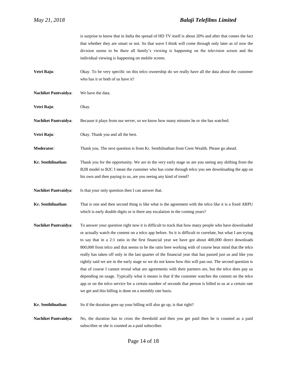is surprise to know that in India the spread of HD TV itself is about 20% and after that comes the fact that whether they are smart or not. So that wave I think will come through only later as of now the division seems to be there all family's viewing is happening on the television screen and the individual viewing is happening on mobile screen. **Vetri Raju:** Okay. To be very specific on this telco ownership do we really have all the data about the customer who has it or both of us have it? **Nachiket Pantvaidya**: We have the data. **Vetri Raju**: Okay. **Nachiket Pantvaidya**: Because it plays from our server, so we know how many minutes he or she has watched. **Vetri Raju:** Okay. Thank you and all the best. **Moderator**: Thank you. The next question is from Kr. Senthilnathan from Crest Wealth. Please go ahead. **Kr. Senthilnathan**: Thank you for the opportunity. We are in the very early stage so are you seeing any shifting from the B2B model to B2C I mean the customer who has come through telco you see downloading the app on his own and then paying to us, are you seeing any kind of trend? **Nachiket Pantvaidya**: Is that your only question then I can answer that. **Kr. Senthilnathan**: That is one and then second thing is like what is the agreement with the telco like it is a fixed ARPU which is early double digits or is there any escalation in the coming years? **Nachiket Pantvaidya**: To answer your question right now it is difficult to track that how many people who have downloaded or actually watch the content on a telco app before. So it is difficult to correlate, but what I am trying to say that in a 2:1 ratio in the first financial year we have got about 400,000 direct downloads 800,000 from telco and that seems to be the ratio here working with of course bear mind that the telco really has taken off only in the last quarter of the financial year that has passed just us and like you rightly said we are in the early stage so we do not know how this will pan out. The second question is that of course I cannot reveal what are agreements with their partners are, but the telco does pay us depending on usage. Typically what it means is that if the customer watches the content on the telco app or on the telco service for a certain number of seconds that person is billed to us at a certain rate we get and this billing is done on a monthly rate basis. **Kr. Senthilnathan**: So if the duration goes up your billing will also go up, is that right? **Nachiket Pantvaidya**: No, the duration has to cross the threshold and then you get paid then he is counted as a paid subscriber or she is counted as a paid subscriber.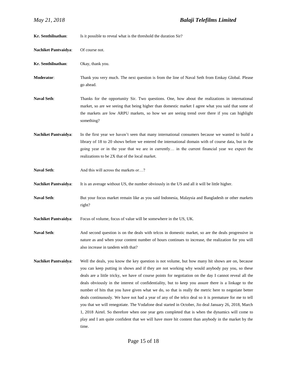| Kr. Senthilnathan:          | Is it possible to reveal what is the threshold the duration Sir?                                                                                                                                                                                                                                                                                                                                                                                                                                                                                                                                                                                                                                                                                                                                                                                                                                                                                               |
|-----------------------------|----------------------------------------------------------------------------------------------------------------------------------------------------------------------------------------------------------------------------------------------------------------------------------------------------------------------------------------------------------------------------------------------------------------------------------------------------------------------------------------------------------------------------------------------------------------------------------------------------------------------------------------------------------------------------------------------------------------------------------------------------------------------------------------------------------------------------------------------------------------------------------------------------------------------------------------------------------------|
| <b>Nachiket Pantvaidya:</b> | Of course not.                                                                                                                                                                                                                                                                                                                                                                                                                                                                                                                                                                                                                                                                                                                                                                                                                                                                                                                                                 |
| Kr. Senthilnathan:          | Okay, thank you.                                                                                                                                                                                                                                                                                                                                                                                                                                                                                                                                                                                                                                                                                                                                                                                                                                                                                                                                               |
| Moderator:                  | Thank you very much. The next question is from the line of Naval Seth from Emkay Global. Please<br>go ahead.                                                                                                                                                                                                                                                                                                                                                                                                                                                                                                                                                                                                                                                                                                                                                                                                                                                   |
| <b>Naval Seth:</b>          | Thanks for the opportunity Sir. Two questions. One, how about the realizations in international<br>market, so are we seeing that being higher than domestic market I agree what you said that some of<br>the markets are low ARPU markets, so how we are seeing trend over there if you can highlight<br>something?                                                                                                                                                                                                                                                                                                                                                                                                                                                                                                                                                                                                                                            |
| <b>Nachiket Pantvaidya:</b> | In the first year we haven't seen that many international consumers because we wanted to build a<br>library of 18 to 20 shows before we entered the international domain with of course data, but in the<br>going year or in the year that we are in currently in the current financial year we expect the<br>realizations to be 2X that of the local market.                                                                                                                                                                                                                                                                                                                                                                                                                                                                                                                                                                                                  |
| <b>Naval Seth:</b>          | And this will across the markets or?                                                                                                                                                                                                                                                                                                                                                                                                                                                                                                                                                                                                                                                                                                                                                                                                                                                                                                                           |
| <b>Nachiket Pantvaidya:</b> | It is an average without US, the number obviously in the US and all it will be little higher.                                                                                                                                                                                                                                                                                                                                                                                                                                                                                                                                                                                                                                                                                                                                                                                                                                                                  |
| <b>Naval Seth:</b>          | But your focus market remain like as you said Indonesia, Malaysia and Bangladesh or other markets<br>right?                                                                                                                                                                                                                                                                                                                                                                                                                                                                                                                                                                                                                                                                                                                                                                                                                                                    |
| <b>Nachiket Pantvaidya:</b> | Focus of volume, focus of value will be somewhere in the US, UK.                                                                                                                                                                                                                                                                                                                                                                                                                                                                                                                                                                                                                                                                                                                                                                                                                                                                                               |
| <b>Naval Seth:</b>          | And second question is on the deals with telcos in domestic market, so are the deals progressive in<br>nature as and when your content number of hours continues to increase, the realization for you will<br>also increase in tandem with that?                                                                                                                                                                                                                                                                                                                                                                                                                                                                                                                                                                                                                                                                                                               |
| <b>Nachiket Pantvaidya:</b> | Well the deals, you know the key question is not volume, but how many hit shows are on, because<br>you can keep putting in shows and if they are not working why would anybody pay you, so these<br>deals are a little tricky, we have of course points for negotiation on the day I cannot reveal all the<br>deals obviously in the interest of confidentiality, but to keep you assure there is a linkage to the<br>number of hits that you have given what we do, so that is really the metric here to negotiate better<br>deals continuously. We have not had a year of any of the telco deal so it is premature for me to tell<br>you that we will renegotiate. The Vodafone deal started in October, Jio deal January 26, 2018, March<br>1, 2018 Airtel. So therefore when one year gets completed that is when the dynamics will come to<br>play and I am quite confident that we will have more hit content than anybody in the market by the<br>time. |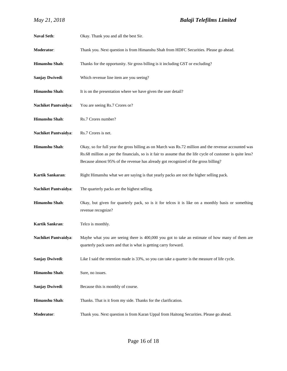| <b>Naval Seth:</b>          | Okay. Thank you and all the best Sir.                                                                                                                                                                                                                                                                     |
|-----------------------------|-----------------------------------------------------------------------------------------------------------------------------------------------------------------------------------------------------------------------------------------------------------------------------------------------------------|
| Moderator:                  | Thank you. Next question is from Himanshu Shah from HDFC Securities. Please go ahead.                                                                                                                                                                                                                     |
| Himanshu Shah:              | Thanks for the opportunity. Sir gross billing is it including GST or excluding?                                                                                                                                                                                                                           |
| <b>Sanjay Dwivedi:</b>      | Which revenue line item are you seeing?                                                                                                                                                                                                                                                                   |
| Himanshu Shah:              | It is on the presentation where we have given the user detail?                                                                                                                                                                                                                                            |
| <b>Nachiket Pantvaidya:</b> | You are seeing Rs.7 Crores or?                                                                                                                                                                                                                                                                            |
| Himanshu Shah:              | Rs.7 Crores number?                                                                                                                                                                                                                                                                                       |
| <b>Nachiket Pantvaidya:</b> | Rs.7 Crores is net.                                                                                                                                                                                                                                                                                       |
| <b>Himanshu Shah:</b>       | Okay, so for full year the gross billing as on March was Rs.72 million and the revenue accounted was<br>Rs.68 million as per the financials, so is it fair to assume that the life cycle of customer is quite less?<br>Because almost 95% of the revenue has already got recognized of the gross billing? |
| Kartik Sankaran:            | Right Himanshu what we are saying is that yearly packs are not the higher selling pack.                                                                                                                                                                                                                   |
| <b>Nachiket Pantvaidya:</b> | The quarterly packs are the highest selling.                                                                                                                                                                                                                                                              |
| Himanshu Shah:              | Okay, but given for quarterly pack, so is it for telcos it is like on a monthly basis or something<br>revenue recognize?                                                                                                                                                                                  |
| Kartik Sankran:             | Telco is monthly.                                                                                                                                                                                                                                                                                         |
| <b>Nachiket Pantvaidya:</b> | Maybe what you are seeing there is 400,000 you got to take an estimate of how many of them are<br>quarterly pack users and that is what is getting carry forward.                                                                                                                                         |
| <b>Sanjay Dwivedi:</b>      | Like I said the retention made is 33%, so you can take a quarter is the measure of life cycle.                                                                                                                                                                                                            |
| Himanshu Shah:              | Sure, no issues.                                                                                                                                                                                                                                                                                          |
| Sanjay Dwivedi:             | Because this is monthly of course.                                                                                                                                                                                                                                                                        |
| Himanshu Shah:              | Thanks. That is it from my side. Thanks for the clarification.                                                                                                                                                                                                                                            |
| Moderator:                  | Thank you. Next question is from Karan Uppal from Haitong Securities. Please go ahead.                                                                                                                                                                                                                    |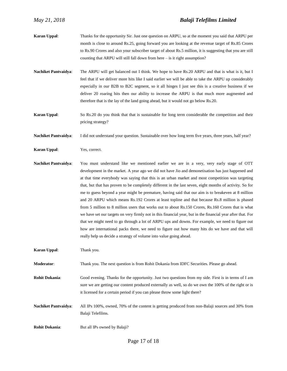- **Karan Uppal**: Thanks for the opportunity Sir. Just one question on ARPU, so at the moment you said that ARPU per month is close to around Rs.25, going forward you are looking at the revenue target of Rs.85 Crores to Rs.90 Crores and also your subscriber target of about Rs.5 million, it is suggesting that you are still counting that ARPU will still fall down from here – is it right assumption?
- **Nachiket Pantvaidya**: The ARPU will get balanced out I think. We hope to have Rs.20 ARPU and that is what is it, but I feel that if we deliver more hits like I said earlier we will be able to take the ARPU up considerably especially in our B2B to B2C segment, so it all hinges I just see this is a creative business if we deliver 20 roaring hits then our ability to increase the ARPU is that much more augmented and therefore that is the lay of the land going ahead, but it would not go below Rs.20.
- **Karan Uppal:** So Rs.20 do you think that that is sustainable for long term considerable the competition and their pricing strategy?
- Nachiket Pantvaidya: I did not understand your question. Sustainable over how long term five years, three years, half year?
- **Karan Uppal**: Yes, correct.
- **Nachiket Pantvaidya**: You must understand like we mentioned earlier we are in a very, very early stage of OTT development in the market. A year ago we did not have Jio and demonetisation has just happened and at that time everybody was saying that this is an urban market and most competition was targeting that, but that has proven to be completely different in the last seven, eight months of activity. So for me to guess beyond a year might be premature, having said that our aim is to breakeven at 8 million and 20 ARPU which means Rs.192 Crores at least topline and that because Rs.8 million is phased from 5 million to 8 million users that works out to about Rs.150 Crores, Rs.160 Crores that is what we have set our targets on very firmly not in this financial year, but in the financial year after that. For that we might need to go through a lot of ARPU ups and downs. For example, we need to figure out how are international packs there, we need to figure out how many hits do we have and that will really help us decide a strategy of volume into value going ahead.
- **Karan Uppal**: Thank you.
- **Moderator**: Thank you. The next question is from Rohit Dokania from IDFC Securities. Please go ahead.
- **Rohit Dokania**: Good evening. Thanks for the opportunity. Just two questions from my side. First is in terms of I am sure we are getting our content produced externally as well, so do we own the 100% of the right or is it licensed for a certain period if you can please throw some light there?
- **Nachiket Pantvaidya**: All IPs 100%, owned, 70% of the content is getting produced from non-Balaji sources and 30% from Balaji Telefilms.
- **Rohit Dokania:** But all IPs owned by Balaji?